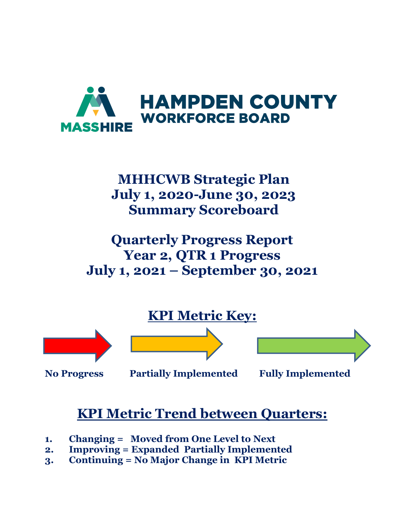

# **MHHCWB Strategic Plan July 1, 2020-June 30, 2023 Summary Scoreboard**

**Quarterly Progress Report Year 2, QTR 1 Progress July 1, 2021 – September 30, 2021**



**No Progress Partially Implemented Fully Implemented** 

# **KPI Metric Trend between Quarters:**

- **1. Changing = Moved from One Level to Next**
- **2. Improving = Expanded Partially Implemented**
- **3. Continuing = No Major Change in KPI Metric**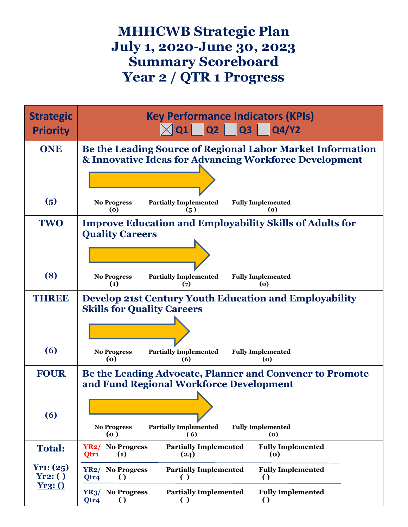## **MHHCWB Strategic Plan July 1, 2020-June 30, 2023 Summary Scoreboard Year 2 / QTR 1 Progress**

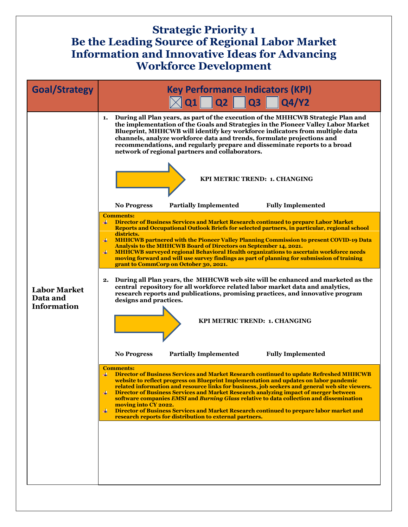#### **Strategic Priority 1 Be the Leading Source of Regional Labor Market Information and Innovative Ideas for Advancing Workforce Development**

| <b>Goal/Strategy</b>                                  | <b>Key Performance Indicators (KPI)</b><br>$\sqrt{2}$ Q1 Q2 Q3 Q4/Y2                                                                                                                                                                                                                                                                                                                                                                                                                                                                                                                                                                                                                                                                                                                                                                                                                                                           |
|-------------------------------------------------------|--------------------------------------------------------------------------------------------------------------------------------------------------------------------------------------------------------------------------------------------------------------------------------------------------------------------------------------------------------------------------------------------------------------------------------------------------------------------------------------------------------------------------------------------------------------------------------------------------------------------------------------------------------------------------------------------------------------------------------------------------------------------------------------------------------------------------------------------------------------------------------------------------------------------------------|
|                                                       | During all Plan years, as part of the execution of the MHHCWB Strategic Plan and<br>1.<br>the implementation of the Goals and Strategies in the Pioneer Valley Labor Market<br>Blueprint, MHHCWB will identify key workforce indicators from multiple data<br>channels, analyze workforce data and trends, formulate projections and<br>recommendations, and regularly prepare and disseminate reports to a broad<br>network of regional partners and collaborators.<br>KPI METRIC TREND: 1. CHANGING<br><b>Partially Implemented</b><br><b>Fully Implemented</b><br><b>No Progress</b>                                                                                                                                                                                                                                                                                                                                        |
|                                                       | <b>Comments:</b>                                                                                                                                                                                                                                                                                                                                                                                                                                                                                                                                                                                                                                                                                                                                                                                                                                                                                                               |
| <b>Labor Market</b><br>Data and<br><b>Information</b> | Director of Business Services and Market Research continued to prepare Labor Market<br>Reports and Occupational Outlook Briefs for selected partners, in particular, regional school<br>districts.<br><b>MHHCWB partnered with the Pioneer Valley Planning Commission to present COVID-19 Data</b><br>Analysis to the MHHCWB Board of Directors on September 14, 2021.<br>MHHCWB surveyed regional Behavioral Health organizations to ascertain workforce needs<br>moving forward and will use survey findings as part of planning for submission of training<br>grant to CommCorp on October 30, 2021.<br>During all Plan years, the MHHCWB web site will be enhanced and marketed as the<br>2.<br>central repository for all workforce related labor market data and analytics,<br>research reports and publications, promising practices, and innovative program<br>designs and practices.<br>KPI METRIC TREND: 1. CHANGING |
|                                                       | <b>Fully Implemented</b><br><b>No Progress</b><br><b>Partially Implemented</b>                                                                                                                                                                                                                                                                                                                                                                                                                                                                                                                                                                                                                                                                                                                                                                                                                                                 |
|                                                       |                                                                                                                                                                                                                                                                                                                                                                                                                                                                                                                                                                                                                                                                                                                                                                                                                                                                                                                                |
|                                                       | <b>Comments:</b><br>Director of Business Services and Market Research continued to update Refreshed MHHCWB<br>website to reflect progress on Blueprint Implementation and updates on labor pandemic<br>related information and resource links for business, job seekers and general web site viewers.<br>Director of Business Services and Market Research analyzing impact of merger between<br>software companies EMSI and Burning Glass relative to data collection and dissemination<br>moving into CY 2022.<br>Director of Business Services and Market Research continued to prepare labor market and<br>₩<br>research reports for distribution to external partners.                                                                                                                                                                                                                                                    |
|                                                       |                                                                                                                                                                                                                                                                                                                                                                                                                                                                                                                                                                                                                                                                                                                                                                                                                                                                                                                                |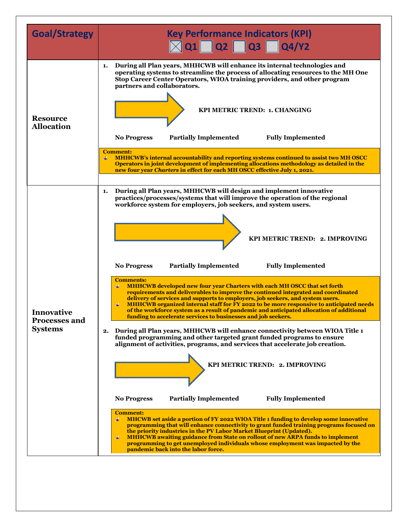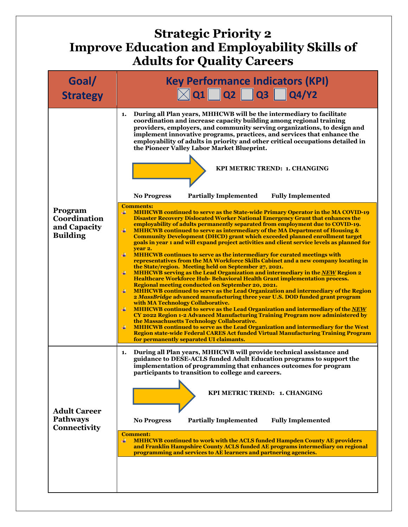## **Strategic Priority 2 Improve Education and Employability Skills of Adults for Quality Careers**

| Goal/<br><b>Strategy</b>                                   | <b>Key Performance Indicators (KPI)</b><br>$\boxtimes$ Q1 $\Box$ Q2 $\Box$ Q3 $\Box$ Q4/Y2                                                                                                                                                                                                                                                                                                                                                                                                                                                                                                                                                                                                                                                                                                                                                                                                                                                                                                                                                                                                                                                                                                                                                                                                                                                                                                                                                                                                                                                                                                                                                                                                                                                                                                                                                                                                                                                                                                                                                                                                                                                                                                                                                                                  |
|------------------------------------------------------------|-----------------------------------------------------------------------------------------------------------------------------------------------------------------------------------------------------------------------------------------------------------------------------------------------------------------------------------------------------------------------------------------------------------------------------------------------------------------------------------------------------------------------------------------------------------------------------------------------------------------------------------------------------------------------------------------------------------------------------------------------------------------------------------------------------------------------------------------------------------------------------------------------------------------------------------------------------------------------------------------------------------------------------------------------------------------------------------------------------------------------------------------------------------------------------------------------------------------------------------------------------------------------------------------------------------------------------------------------------------------------------------------------------------------------------------------------------------------------------------------------------------------------------------------------------------------------------------------------------------------------------------------------------------------------------------------------------------------------------------------------------------------------------------------------------------------------------------------------------------------------------------------------------------------------------------------------------------------------------------------------------------------------------------------------------------------------------------------------------------------------------------------------------------------------------------------------------------------------------------------------------------------------------|
| Program<br>Coordination<br>and Capacity<br><b>Building</b> | During all Plan years, MHHCWB will be the intermediary to facilitate<br>1.<br>coordination and increase capacity building among regional training<br>providers, employers, and community serving organizations, to design and<br>implement innovative programs, practices, and services that enhance the<br>employability of adults in priority and other critical occupations detailed in<br>the Pioneer Valley Labor Market Blueprint.<br>KPI METRIC TREND: 1. CHANGING<br><b>Fully Implemented</b><br><b>No Progress</b><br><b>Partially Implemented</b><br><b>Comments:</b><br><b>MHHCWB continued to serve as the State-wide Primary Operator in the MA COVID-19</b><br>₩<br><b>Disaster Recovery Dislocated Worker National Emergency Grant that enhances the</b><br>employability of adults permanently separated from employment due to COVID-19.<br>4<br><b>MHHCWB</b> continued to serve as intermediary of the MA Department of Housing &<br><b>Community Development (DHCD) grant which exceeded planned enrollment target</b><br>goals in year 1 and will expand project activities and client service levels as planned for<br>vear 2.<br>$\ddot{}$<br><b>MHHCWB</b> continues to serve as the intermediary for curated meetings with<br>representatives from the MA Workforce Skills Cabinet and a new company locating in<br>the State/region. Meeting held on September 27, 2021.<br>MHHCWB serving as the Lead Organization and intermediary in the NEW Region 2<br>$\ddot{}$<br>Healthcare Workforce Hub-Behavioral Health Grant implementation process.<br>Regional meeting conducted on September 20, 2021.<br>4<br><b>MHHCWB</b> continued to serve as the Lead Organization and intermediary of the Region<br>2 MassBridge advanced manufacturing three year U.S. DOD funded grant program<br>with MA Technology Collaborative.<br>$\ddot{}$<br>MHHCWB continued to serve as the Lead Organization and intermediary of the NEW<br>CY 2022 Region 1-2 Advanced Manufacturing Training Program now administered by<br>the Massachusetts Technology Collaborative.<br><b>MHHCWB continued to serve as the Lead Organization and intermediary for the West</b><br>₩<br>Region state-wide Federal CARES Act funded Virtual Manufacturing Training Program |
| <b>Adult Career</b><br><b>Pathways</b><br>Connectivity     | During all Plan years, MHHCWB will provide technical assistance and<br>1.<br>guidance to DESE-ACLS funded Adult Education programs to support the<br>implementation of programming that enhances outcomes for program<br>participants to transition to college and careers.<br>KPI METRIC TREND: 1. CHANGING<br><b>Partially Implemented</b><br><b>Fully Implemented</b><br><b>No Progress</b><br><b>Comment:</b><br><b>MHHCWB continued to work with the ACLS funded Hampden County AE providers</b><br>₩<br>and Franklin Hampshire County ACLS funded AE programs intermediary on regional<br>programming and services to AE learners and partnering agencies.                                                                                                                                                                                                                                                                                                                                                                                                                                                                                                                                                                                                                                                                                                                                                                                                                                                                                                                                                                                                                                                                                                                                                                                                                                                                                                                                                                                                                                                                                                                                                                                                            |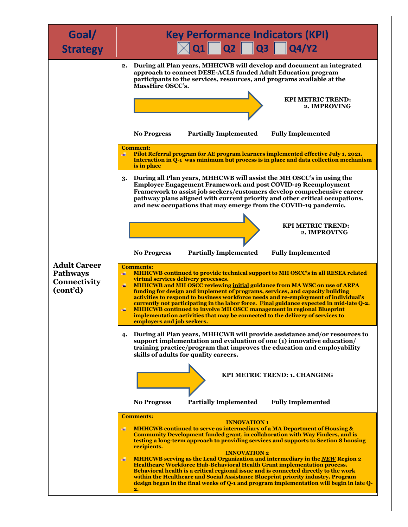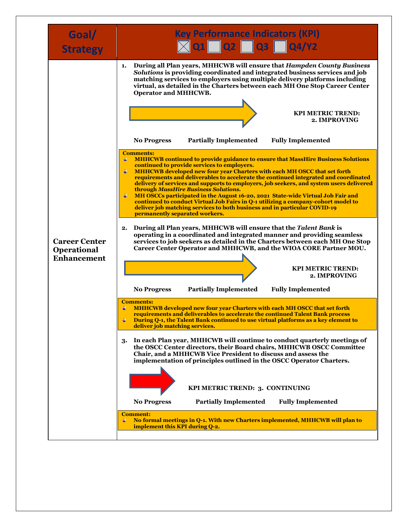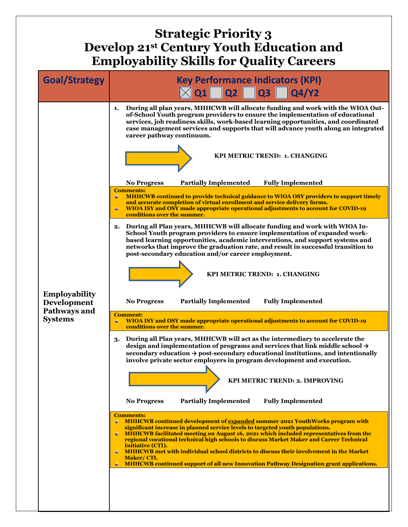## **Strategic Priority 3 Develop 21st Century Youth Education and Employability Skills for Quality Careers**

| <b>Goal/Strategy</b>                | <b>Key Performance Indicators (KPI)</b><br>$\times$ Q1 Q2 Q3 Q4/Y2                                                                                                                                                                                                                                                                                                                                                                                                                                                         |
|-------------------------------------|----------------------------------------------------------------------------------------------------------------------------------------------------------------------------------------------------------------------------------------------------------------------------------------------------------------------------------------------------------------------------------------------------------------------------------------------------------------------------------------------------------------------------|
|                                     | During all plan years, MHHCWB will allocate funding and work with the WIOA Out-<br>1.<br>of-School Youth program providers to ensure the implementation of educational<br>services, job readiness skills, work-based learning opportunities, and coordinated<br>case management services and supports that will advance youth along an integrated<br>career pathway continuum.                                                                                                                                             |
|                                     | KPI METRIC TREND: 1. CHANGING                                                                                                                                                                                                                                                                                                                                                                                                                                                                                              |
|                                     | <b>Partially Implemented</b><br><b>Fully Implemented</b><br><b>No Progress</b>                                                                                                                                                                                                                                                                                                                                                                                                                                             |
|                                     | <b>Comments:</b><br>₩<br>MHHCWB continued to provide technical guidance to WIOA OSY providers to support timely<br>and accurate completion of virtual enrollment and service delivery forms.<br>WIOA ISY and OSY made appropriate operational adjustments to account for COVID-19<br>conditions over the summer.                                                                                                                                                                                                           |
|                                     | During all Plan years, MHHCWB will allocate funding and work with WIOA In-<br>2.<br>School Youth program providers to ensure implementation of expanded work-<br>based learning opportunities, academic interventions, and support systems and<br>networks that improve the graduation rate, and result in successful transition to<br>post-secondary education and/or career employment.                                                                                                                                  |
|                                     | KPI METRIC TREND: 1. CHANGING                                                                                                                                                                                                                                                                                                                                                                                                                                                                                              |
| <b>Employability</b><br>Development | <b>Partially Implemented</b><br><b>Fully Implemented</b><br><b>No Progress</b>                                                                                                                                                                                                                                                                                                                                                                                                                                             |
| Pathways and<br><b>Systems</b>      | <b>Comment:</b><br>WIOA ISY and OSY made appropriate operational adjustments to account for COVID-19<br>conditions over the summer.                                                                                                                                                                                                                                                                                                                                                                                        |
|                                     | During all Plan years, MHHCWB will act as the intermediary to accelerate the<br>3.<br>design and implementation of programs and services that link middle school $\rightarrow$<br>secondary education $\rightarrow$ post-secondary educational institutions, and intentionally<br>involve private sector employers in program development and execution.                                                                                                                                                                   |
|                                     | <b>KPI METRIC TREND: 2. IMPROVING</b>                                                                                                                                                                                                                                                                                                                                                                                                                                                                                      |
|                                     | <b>Partially Implemented</b><br><b>Fully Implemented</b><br><b>No Progress</b>                                                                                                                                                                                                                                                                                                                                                                                                                                             |
|                                     | <b>Comments:</b><br>MHHCWB continued development of expanded summer 2021 YouthWorks program with<br>significant increase in planned service levels to targeted youth populations.<br>MHHCWB facilitated meeting on August 16, 2021 which included representatives from the<br>₩<br>regional vocational technical high schools to discuss Market Maker and Career Technical<br><b>Initiative (CTI).</b><br><b>MHHCWB</b> met with individual school districts to discuss their involvement in the Market<br>₩<br>Maker/CTI. |
|                                     | MHHCWB continued support of all new Innovation Pathway Designation grant applications.                                                                                                                                                                                                                                                                                                                                                                                                                                     |
|                                     |                                                                                                                                                                                                                                                                                                                                                                                                                                                                                                                            |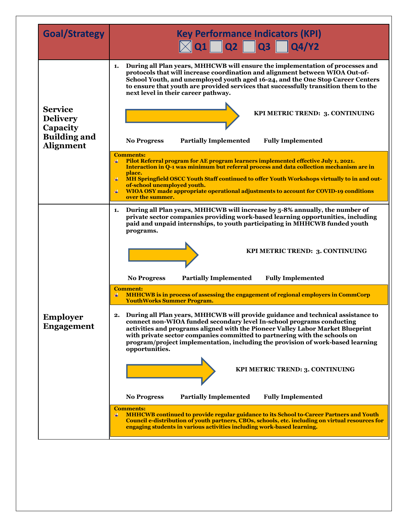| <b>Goal/Strategy</b>                                                                     | <b>Key Performance Indicators (KPI)</b><br>$\boxed{\times}$ Q1 $\boxed{\phantom{0}}$ Q2 $\boxed{\phantom{0}}$ Q3 $\boxed{\phantom{0}}$ Q4/Y2                                                                                                                                                                                                                                                                                                                |
|------------------------------------------------------------------------------------------|-------------------------------------------------------------------------------------------------------------------------------------------------------------------------------------------------------------------------------------------------------------------------------------------------------------------------------------------------------------------------------------------------------------------------------------------------------------|
| <b>Service</b><br><b>Delivery</b><br>Capacity<br><b>Building and</b><br><b>Alignment</b> | During all Plan years, MHHCWB will ensure the implementation of processes and<br>1.<br>protocols that will increase coordination and alignment between WIOA Out-of-<br>School Youth, and unemployed youth aged 16-24, and the One Stop Career Centers<br>to ensure that youth are provided services that successfully transition them to the<br>next level in their career pathway.                                                                         |
|                                                                                          | KPI METRIC TREND: 3. CONTINUING                                                                                                                                                                                                                                                                                                                                                                                                                             |
|                                                                                          | <b>Partially Implemented</b><br><b>Fully Implemented</b><br><b>No Progress</b>                                                                                                                                                                                                                                                                                                                                                                              |
|                                                                                          | <b>Comments:</b><br>Pilot Referral program for AE program learners implemented effective July 1, 2021.<br>Interaction in Q-1 was minimum but referral process and data collection mechanism are in<br>place.<br>MH Springfield OSCC Youth Staff continued to offer Youth Workshops virtually to in and out-<br>4<br>of-school unemployed youth.<br>WIOA OSY made appropriate operational adjustments to account for COVID-19 conditions<br>over the summer. |
|                                                                                          | During all Plan years, MHHCWB will increase by 5-8% annually, the number of<br>1.<br>private sector companies providing work-based learning opportunities, including<br>paid and unpaid internships, to youth participating in MHHCWB funded youth<br>programs.                                                                                                                                                                                             |
|                                                                                          | KPI METRIC TREND: 3. CONTINUING                                                                                                                                                                                                                                                                                                                                                                                                                             |
|                                                                                          | <b>Partially Implemented</b><br><b>Fully Implemented</b><br><b>No Progress</b>                                                                                                                                                                                                                                                                                                                                                                              |
| <b>Employer</b><br><b>Engagement</b>                                                     | <b>Comment:</b><br><b>MHHCWB</b> is in process of assessing the engagement of regional employers in CommCorp<br><b>YouthWorks Summer Program.</b>                                                                                                                                                                                                                                                                                                           |
|                                                                                          | During all Plan years, MHHCWB will provide guidance and technical assistance to<br>2.<br>connect non-WIOA funded secondary level In-school programs conducting<br>activities and programs aligned with the Pioneer Valley Labor Market Blueprint<br>with private sector companies committed to partnering with the schools on<br>program/project implementation, including the provision of work-based learning<br>opportunities.                           |
|                                                                                          | KPI METRIC TREND: 3. CONTINUING                                                                                                                                                                                                                                                                                                                                                                                                                             |
|                                                                                          | <b>Partially Implemented</b><br><b>Fully Implemented</b><br><b>No Progress</b>                                                                                                                                                                                                                                                                                                                                                                              |
|                                                                                          | <b>Comments:</b><br><b>MHHCWB</b> continued to provide regular guidance to its School to-Career Partners and Youth<br>₩<br>Council e-distribution of youth partners, CBOs, schools, etc. including on virtual resources for<br>engaging students in various activities including work-based learning.                                                                                                                                                       |
|                                                                                          |                                                                                                                                                                                                                                                                                                                                                                                                                                                             |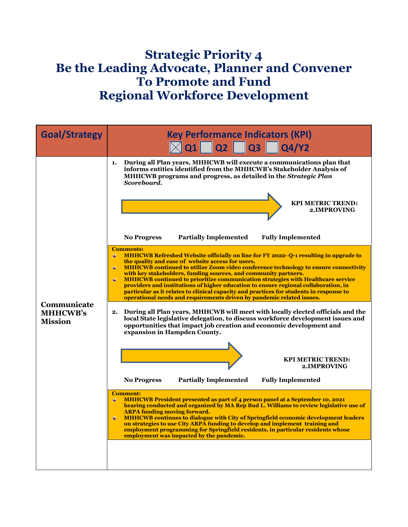## **Strategic Priority 4 Be the Leading Advocate, Planner and Convener To Promote and Fund Regional Workforce Development**

| <b>Goal/Strategy</b>                             | <b>Key Performance Indicators (KPI)</b><br>$ Q1 $ $ Q2 $ $ Q3 $  <br><b>Q4/Y2</b>                                                                                                                                                                                                                                                                                                                                                                                                                                                                                                                                                                                                                                                                                                                                                                                                                                                                                                                                                                                                                                                                                                                                                                                                                                                                                                                                                                                                                                                                                                                                                                                                                                                                                                                                                                                                                                                                                                                                                                                          |
|--------------------------------------------------|----------------------------------------------------------------------------------------------------------------------------------------------------------------------------------------------------------------------------------------------------------------------------------------------------------------------------------------------------------------------------------------------------------------------------------------------------------------------------------------------------------------------------------------------------------------------------------------------------------------------------------------------------------------------------------------------------------------------------------------------------------------------------------------------------------------------------------------------------------------------------------------------------------------------------------------------------------------------------------------------------------------------------------------------------------------------------------------------------------------------------------------------------------------------------------------------------------------------------------------------------------------------------------------------------------------------------------------------------------------------------------------------------------------------------------------------------------------------------------------------------------------------------------------------------------------------------------------------------------------------------------------------------------------------------------------------------------------------------------------------------------------------------------------------------------------------------------------------------------------------------------------------------------------------------------------------------------------------------------------------------------------------------------------------------------------------------|
| Communicate<br><b>MHHCWB's</b><br><b>Mission</b> | During all Plan years, MHHCWB will execute a communications plan that<br>1.<br>informs entities identified from the MHHCWB's Stakeholder Analysis of<br>MHHCWB programs and progress, as detailed in the Strategic Plan<br>Scoreboard.<br><b>KPI METRIC TREND:</b><br>2. IMPROVING<br><b>Partially Implemented</b><br><b>Fully Implemented</b><br><b>No Progress</b><br><b>Comments:</b><br><b>MHHCWB Refreshed Website officially on line for FY 2022-0-1 resulting in upgrade to</b><br>$\ddot{}$<br>the quality and ease of website access for users.<br><b>MHHCWB continued to utilize Zoom video conference technology to ensure connectivity</b><br>4<br>with key stakeholders, funding sources, and community partners.<br>4<br><b>MHHCWB</b> continued to prioritize communication strategies with Healthcare service<br>providers and institutions of higher education to ensure regional collaboration, in<br>particular as it relates to clinical capacity and practices for students in response to<br>operational needs and requirements driven by pandemic related issues.<br>During all Plan years, MHHCWB will meet with locally elected officials and the<br>2.<br>local State legislative delegation, to discuss workforce development issues and<br>opportunities that impact job creation and economic development and<br>expansion in Hampden County.<br><b>KPI METRIC TREND:</b><br>2. IMPROVING<br><b>Partially Implemented</b><br><b>Fully Implemented</b><br><b>No Progress</b><br><b>Comment:</b><br><b>MHHCWB</b> President presented as part of 4 person panel at a September 10, 2021<br>₩.<br>hearing conducted and organized by MA Rep Bud L. Williams to review legislative use of<br><b>ARPA funding moving forward.</b><br>4<br><b>MHHCWB continues to dialogue with City of Springfield economic development leaders</b><br>on strategies to use City ARPA funding to develop and implement training and<br>employment programming for Springfield residents, in particular residents whose<br>employment was impacted by the pandemic. |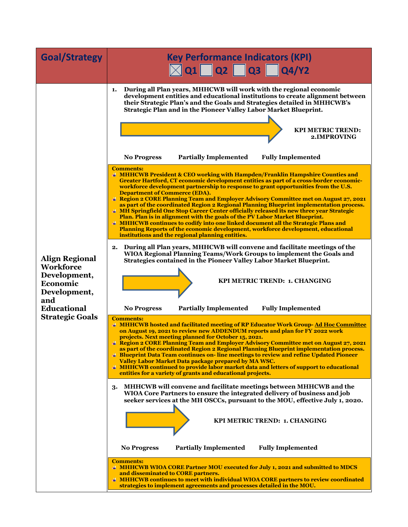| <b>Goal/Strategy</b>                                                                                                                         | <b>Key Performance Indicators (KPI)</b><br>$\sqrt{\phantom{a}}$ Q1 $\Box$ Q2 $\Box$ Q3 $\Box$ Q4/Y2                                                                                                                                                                                                                                                                                                                                                                                                                                                                                                                                                                                                                                                                                                                                                                                                                                                                                                                                                                                                                                                                                                                                                                                                                                                                                                                                                                                                                                                                                                                                                                                                                                                                                                                                                                                                                                                                                                                                                                                                                                                                                                                                                                                                                                                                                                                                                                                                                                                                                                                                                                                                                                                                                                                                                                                                                                                                                                                                                                                                                                                                                                   |
|----------------------------------------------------------------------------------------------------------------------------------------------|-------------------------------------------------------------------------------------------------------------------------------------------------------------------------------------------------------------------------------------------------------------------------------------------------------------------------------------------------------------------------------------------------------------------------------------------------------------------------------------------------------------------------------------------------------------------------------------------------------------------------------------------------------------------------------------------------------------------------------------------------------------------------------------------------------------------------------------------------------------------------------------------------------------------------------------------------------------------------------------------------------------------------------------------------------------------------------------------------------------------------------------------------------------------------------------------------------------------------------------------------------------------------------------------------------------------------------------------------------------------------------------------------------------------------------------------------------------------------------------------------------------------------------------------------------------------------------------------------------------------------------------------------------------------------------------------------------------------------------------------------------------------------------------------------------------------------------------------------------------------------------------------------------------------------------------------------------------------------------------------------------------------------------------------------------------------------------------------------------------------------------------------------------------------------------------------------------------------------------------------------------------------------------------------------------------------------------------------------------------------------------------------------------------------------------------------------------------------------------------------------------------------------------------------------------------------------------------------------------------------------------------------------------------------------------------------------------------------------------------------------------------------------------------------------------------------------------------------------------------------------------------------------------------------------------------------------------------------------------------------------------------------------------------------------------------------------------------------------------------------------------------------------------------------------------------------------------|
| <b>Align Regional</b><br><b>Workforce</b><br>Development,<br>Economic<br>Development,<br>and<br><b>Educational</b><br><b>Strategic Goals</b> | During all Plan years, MHHCWB will work with the regional economic<br>1.<br>development entities and educational institutions to create alignment between<br>their Strategic Plan's and the Goals and Strategies detailed in MHHCWB's<br>Strategic Plan and in the Pioneer Valley Labor Market Blueprint.<br><b>KPI METRIC TREND:</b><br>2.IMPROVING<br><b>Partially Implemented</b><br><b>Fully Implemented</b><br><b>No Progress</b><br><b>Comments:</b><br><b># MHHCWB President &amp; CEO working with Hampden/Franklin Hampshire Counties and</b><br>Greater Hartford, CT economic development entities as part of a cross-border economic-<br>workforce development partnership to response to grant opportunities from the U.S.<br><b>Department of Commerce (EDA).</b><br><b># Region 2 CORE Planning Team and Employer Advisory Committee met on August 27, 2021</b><br>as part of the coordinated Region 2 Regional Planning Blueprint implementation process.<br><sup>4</sup> MH Springfield One Stop Career Center officially released its new three year Strategic<br>Plan. Plan is in alignment with the goals of the PV Labor Market Blueprint.<br><b># MHHCWB continues to codify into one linked document all the Strategic Plans and</b><br><b>Planning Reports of the economic development, workforce development, educational</b><br>institutions and the regional planning entities.<br>During all Plan years, MHHCWB will convene and facilitate meetings of the<br>2.<br>WIOA Regional Planning Teams/Work Groups to implement the Goals and<br>Strategies contained in the Pioneer Valley Labor Market Blueprint.<br>KPI METRIC TREND: 1. CHANGING<br><b>No Progress</b><br><b>Partially Implemented</b><br><b>Fully Implemented</b><br><b>Comments:</b><br>+ MHHCWB hosted and facilitated meeting of RP Educator Work Group-Ad Hoc Committee<br>on August 19, 2021 to review new ADDENDUM reports and plan for FY 2022 work<br>projects. Next meeting planned for October 15, 2021.<br><b># Region 2 CORE Planning Team and Employer Advisory Committee met on August 27, 2021</b><br>as part of the coordinated Region 2 Regional Planning Blueprint implementation process.<br><b>4 Blueprint Data Team continues on-line meetings to review and refine Updated Pioneer</b><br>Valley Labor Market Data package prepared by MA WSC.<br>+ MHHCWB continued to provide labor market data and letters of support to educational<br>entities for a variety of grants and educational projects.<br>MHHCWB will convene and facilitate meetings between MHHCWB and the<br>3.<br>WIOA Core Partners to ensure the integrated delivery of business and job<br>seeker services at the MH OSCCs, pursuant to the MOU, effective July 1, 2020.<br>KPI METRIC TREND: 1. CHANGING<br><b>Partially Implemented</b><br><b>Fully Implemented</b><br><b>No Progress</b><br><b>Comments:</b><br>+ MHHCWB WIOA CORE Partner MOU executed for July 1, 2021 and submitted to MDCS<br>and disseminated to CORE partners.<br><b># MHHCWB continues to meet with individual WIOA CORE partners to review coordinated</b><br>strategies to implement agreements and processes detailed in the MOU. |